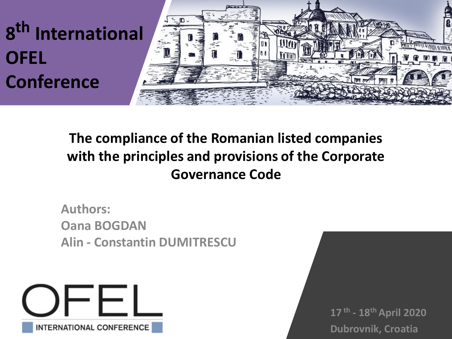

## **The compliance of the Romanian listed companies with the principles and provisions of the Corporate Governance Code**

**Authors: Oana BOGDAN Alin - Constantin DUMITRESCU**



**17 th - 18th April 2020 Dubrovnik, Croatia**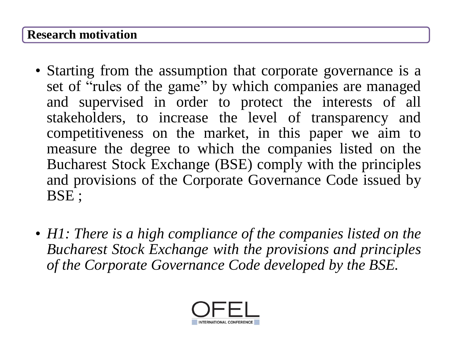#### **Research motivation**

- Starting from the assumption that corporate governance is a set of "rules of the game" by which companies are managed and supervised in order to protect the interests of all stakeholders, to increase the level of transparency and competitiveness on the market, in this paper we aim to measure the degree to which the companies listed on the Bucharest Stock Exchange (BSE) comply with the principles and provisions of the Corporate Governance Code issued by BSE ;
- *H1: There is a high compliance of the companies listed on the Bucharest Stock Exchange with the provisions and principles of the Corporate Governance Code developed by the BSE.*

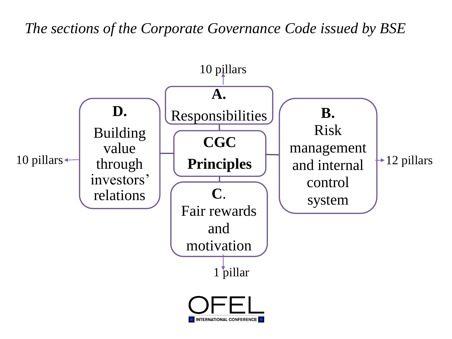*The sections of the Corporate Governance Code issued by BSE*

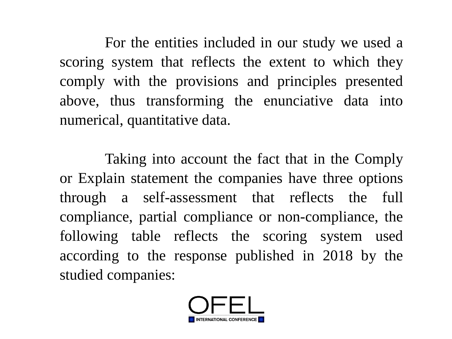For the entities included in our study we used a scoring system that reflects the extent to which they comply with the provisions and principles presented above, thus transforming the enunciative data into numerical, quantitative data.

Taking into account the fact that in the Comply or Explain statement the companies have three options through a self-assessment that reflects the full compliance, partial compliance or non-compliance, the following table reflects the scoring system used according to the response published in 2018 by the studied companies:

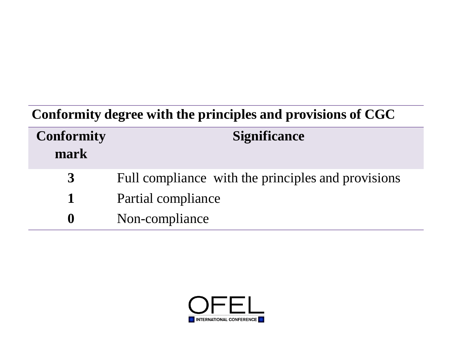## **Conformity degree with the principles and provisions of CGC**

| <b>Conformity</b><br>mark | <b>Significance</b>                                |
|---------------------------|----------------------------------------------------|
| 3                         | Full compliance with the principles and provisions |
| $\mathbf 1$               | Partial compliance                                 |
| $\bf{0}$                  | Non-compliance                                     |

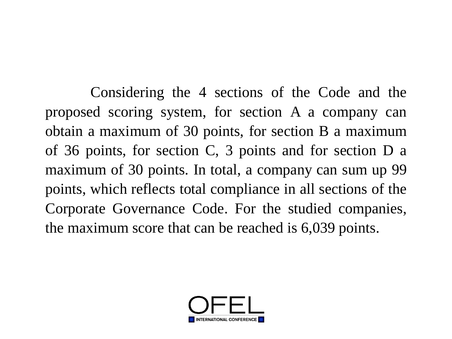Considering the 4 sections of the Code and the proposed scoring system, for section A a company can obtain a maximum of 30 points, for section B a maximum of 36 points, for section C, 3 points and for section D a maximum of 30 points. In total, a company can sum up 99 points, which reflects total compliance in all sections of the Corporate Governance Code. For the studied companies, the maximum score that can be reached is 6,039 points.

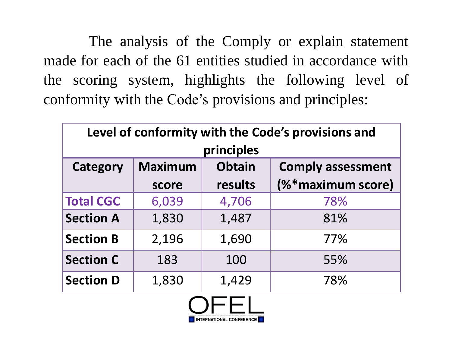The analysis of the Comply or explain statement made for each of the 61 entities studied in accordance with the scoring system, highlights the following level of conformity with the Code's provisions and principles:

| Level of conformity with the Code's provisions and |                |               |                          |  |  |  |  |  |
|----------------------------------------------------|----------------|---------------|--------------------------|--|--|--|--|--|
| principles                                         |                |               |                          |  |  |  |  |  |
| <b>Category</b>                                    | <b>Maximum</b> | <b>Obtain</b> | <b>Comply assessment</b> |  |  |  |  |  |
|                                                    | score          | results       | (%*maximum score)        |  |  |  |  |  |
| <b>Total CGC</b>                                   | 6,039          | 4,706         | 78%                      |  |  |  |  |  |
| <b>Section A</b>                                   | 1,830          | 1,487         | 81%                      |  |  |  |  |  |
| <b>Section B</b>                                   | 2,196          | 1,690         | 77%                      |  |  |  |  |  |
| <b>Section C</b>                                   | 183            | 100           | 55%                      |  |  |  |  |  |
| <b>Section D</b>                                   | 1,830          | 1,429         | 78%                      |  |  |  |  |  |

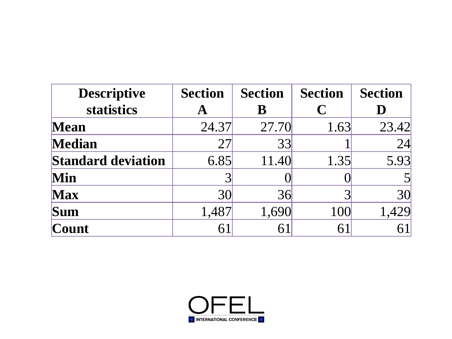| <b>Descriptive</b>        | <b>Section</b> | <b>Section</b> | <b>Section</b> | <b>Section</b> |
|---------------------------|----------------|----------------|----------------|----------------|
| statistics                | A              | B              | C              |                |
| <b>Mean</b>               | 24.37          | 27.70          | 1.63           | 23.42          |
| <b>Median</b>             | 27             | 33             |                | 24             |
| <b>Standard deviation</b> | 6.85           | 11.40          | 1.35           | 5.93           |
| <b>Min</b>                |                |                |                |                |
| <b>Max</b>                | 30             | 36             |                | 30             |
| Sum                       | 1,487          | 1,690          | 100            | 1,429          |
| Count                     | 61             | 6              | $6^{\degree}$  |                |

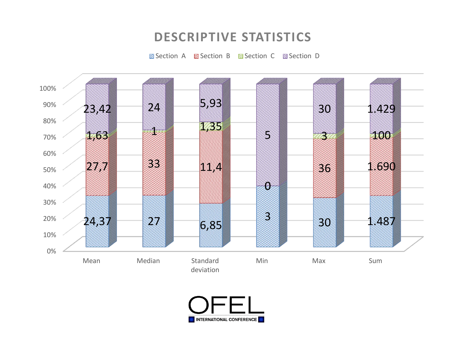#### **DESCRIPTIVE STATISTICS**

Section A Section B Section C Section D



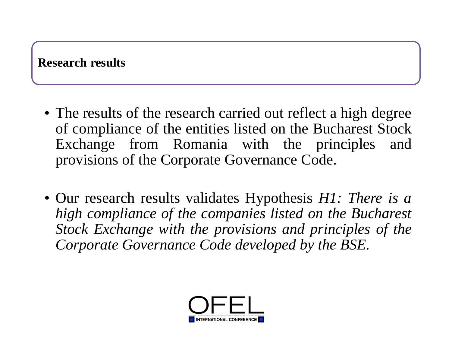#### **Research results**

- The results of the research carried out reflect a high degree of compliance of the entities listed on the Bucharest Stock Exchange from Romania with the principles and provisions of the Corporate Governance Code.
- Our research results validates Hypothesis *H1: There is a high compliance of the companies listed on the Bucharest Stock Exchange with the provisions and principles of the Corporate Governance Code developed by the BSE.*

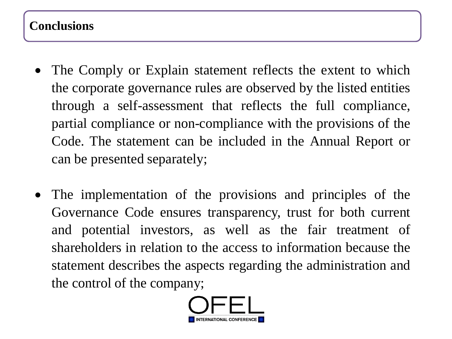#### **Conclusions**

- The Comply or Explain statement reflects the extent to which the corporate governance rules are observed by the listed entities through a self-assessment that reflects the full compliance, partial compliance or non-compliance with the provisions of the Code. The statement can be included in the Annual Report or can be presented separately;
- The implementation of the provisions and principles of the Governance Code ensures transparency, trust for both current and potential investors, as well as the fair treatment of shareholders in relation to the access to information because the statement describes the aspects regarding the administration and the control of the company;

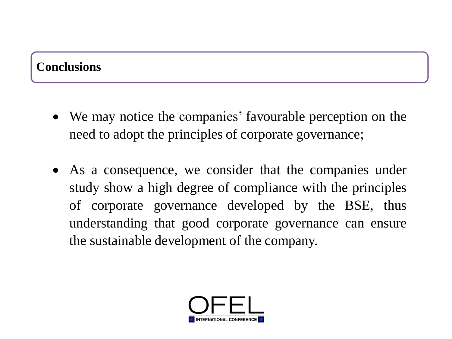#### **Conclusions**

- We may notice the companies' favourable perception on the need to adopt the principles of corporate governance;
- As a consequence, we consider that the companies under study show a high degree of compliance with the principles of corporate governance developed by the BSE, thus understanding that good corporate governance can ensure the sustainable development of the company.

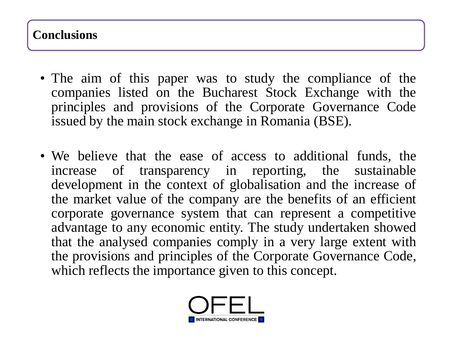#### **Conclusions**

- The aim of this paper was to study the compliance of the companies listed on the Bucharest Stock Exchange with the principles and provisions of the Corporate Governance Code issued by the main stock exchange in Romania (BSE).
- We believe that the ease of access to additional funds, the increase of transparency in reporting, the sustainable development in the context of globalisation and the increase of the market value of the company are the benefits of an efficient corporate governance system that can represent a competitive advantage to any economic entity. The study undertaken showed that the analysed companies comply in a very large extent with the provisions and principles of the Corporate Governance Code, which reflects the importance given to this concept.